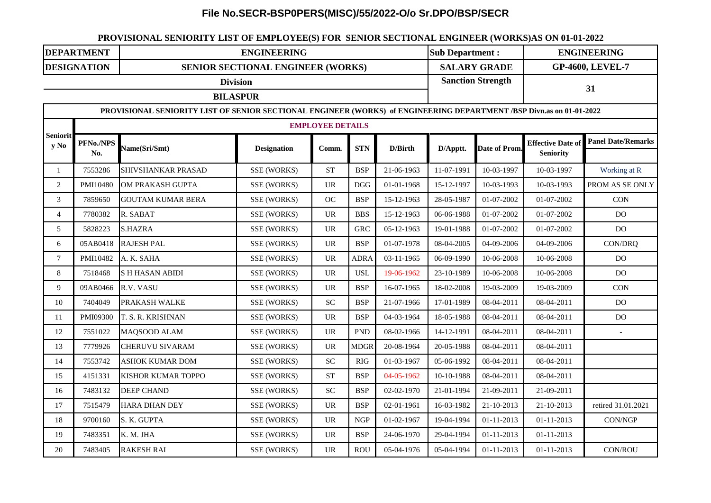## **File No.SECR-BSP0PERS(MISC)/55/2022-O/o Sr.DPO/BSP/SECR**

## **PROVISIONAL SENIORITY LIST OF EMPLOYEE(S) FOR SENIOR SECTIONAL ENGINEER (WORKS)AS ON 01-01-2022**

| <b>DEPARTMENT</b>                  |                                                                                                                      | <b>ENGINEERING</b>                       |                    |                                 |             |                          |            | <b>Sub Department:</b> |                                              | <b>ENGINEERING</b>        |  |  |
|------------------------------------|----------------------------------------------------------------------------------------------------------------------|------------------------------------------|--------------------|---------------------------------|-------------|--------------------------|------------|------------------------|----------------------------------------------|---------------------------|--|--|
|                                    | <b>DESIGNATION</b>                                                                                                   | <b>SENIOR SECTIONAL ENGINEER (WORKS)</b> |                    |                                 |             |                          |            | <b>SALARY GRADE</b>    |                                              | <b>GP-4600, LEVEL-7</b>   |  |  |
| <b>Division</b><br><b>BILASPUR</b> |                                                                                                                      |                                          |                    |                                 |             | <b>Sanction Strength</b> |            | 31                     |                                              |                           |  |  |
|                                    | PROVISIONAL SENIORITY LIST OF SENIOR SECTIONAL ENGINEER (WORKS) of ENGINEERING DEPARTMENT /BSP Divn.as on 01-01-2022 |                                          |                    |                                 |             |                          |            |                        |                                              |                           |  |  |
| <b>Seniorit</b><br>y No            | <b>EMPLOYEE DETAILS</b>                                                                                              |                                          |                    |                                 |             |                          |            |                        |                                              |                           |  |  |
|                                    | PFNo./NPS<br>No.                                                                                                     | Name(Sri/Smt)                            | <b>Designation</b> | Comm.                           | <b>STN</b>  | D/Birth                  | D/Apptt.   | Date of Prom.          | <b>Effective Date of</b><br><b>Seniority</b> | <b>Panel Date/Remarks</b> |  |  |
| $\mathbf{1}$                       | 7553286                                                                                                              | SHIVSHANKAR PRASAD                       | SSE (WORKS)        | <b>ST</b>                       | <b>BSP</b>  | 21-06-1963               | 11-07-1991 | 10-03-1997             | 10-03-1997                                   | Working at R              |  |  |
| $\sqrt{2}$                         | PMI10480                                                                                                             | OM PRAKASH GUPTA                         | SSE (WORKS)        | <b>UR</b>                       | <b>DGG</b>  | 01-01-1968               | 15-12-1997 | 10-03-1993             | 10-03-1993                                   | PROM AS SE ONLY           |  |  |
| 3                                  | 7859650                                                                                                              | <b>GOUTAM KUMAR BERA</b>                 | SSE (WORKS)        | <b>OC</b>                       | <b>BSP</b>  | 15-12-1963               | 28-05-1987 | 01-07-2002             | 01-07-2002                                   | CON                       |  |  |
| $\overline{4}$                     | 7780382                                                                                                              | R. SABAT                                 | SSE (WORKS)        | $\ensuremath{\text{UR}}\xspace$ | <b>BBS</b>  | 15-12-1963               | 06-06-1988 | 01-07-2002             | 01-07-2002                                   | D <sub>O</sub>            |  |  |
| $5\phantom{.0}$                    | 5828223                                                                                                              | <b>S.HAZRA</b>                           | SSE (WORKS)        | <b>UR</b>                       | <b>GRC</b>  | 05-12-1963               | 19-01-1988 | 01-07-2002             | 01-07-2002                                   | <b>DO</b>                 |  |  |
| 6                                  | 05AB0418                                                                                                             | <b>RAJESH PAL</b>                        | SSE (WORKS)        | <b>UR</b>                       | <b>BSP</b>  | 01-07-1978               | 08-04-2005 | 04-09-2006             | 04-09-2006                                   | CON/DRQ                   |  |  |
| $\boldsymbol{7}$                   | PMI10482                                                                                                             | A. K. SAHA                               | SSE (WORKS)        | <b>UR</b>                       | <b>ADRA</b> | 03-11-1965               | 06-09-1990 | 10-06-2008             | 10-06-2008                                   | D <sub>O</sub>            |  |  |
| $8\,$                              | 7518468                                                                                                              | <b>SH HASAN ABIDI</b>                    | SSE (WORKS)        | <b>UR</b>                       | <b>USL</b>  | 19-06-1962               | 23-10-1989 | 10-06-2008             | 10-06-2008                                   | D <sub>O</sub>            |  |  |
| $\overline{9}$                     | 09AB0466                                                                                                             | R.V. VASU                                | SSE (WORKS)        | <b>UR</b>                       | <b>BSP</b>  | 16-07-1965               | 18-02-2008 | 19-03-2009             | 19-03-2009                                   | CON                       |  |  |
| 10                                 | 7404049                                                                                                              | PRAKASH WALKE                            | SSE (WORKS)        | <b>SC</b>                       | <b>BSP</b>  | 21-07-1966               | 17-01-1989 | 08-04-2011             | 08-04-2011                                   | D <sub>O</sub>            |  |  |
| 11                                 | PMI09300                                                                                                             | T. S. R. KRISHNAN                        | SSE (WORKS)        | <b>UR</b>                       | <b>BSP</b>  | 04-03-1964               | 18-05-1988 | 08-04-2011             | 08-04-2011                                   | D <sub>O</sub>            |  |  |
| 12                                 | 7551022                                                                                                              | MAQSOOD ALAM                             | SSE (WORKS)        | <b>UR</b>                       | <b>PND</b>  | 08-02-1966               | 14-12-1991 | 08-04-2011             | 08-04-2011                                   |                           |  |  |
| 13                                 | 7779926                                                                                                              | <b>CHERUVU SIVARAM</b>                   | SSE (WORKS)        | <b>UR</b>                       | <b>MDGR</b> | 20-08-1964               | 20-05-1988 | 08-04-2011             | 08-04-2011                                   |                           |  |  |
| 14                                 | 7553742                                                                                                              | <b>ASHOK KUMAR DOM</b>                   | SSE (WORKS)        | <b>SC</b>                       | <b>RIG</b>  | 01-03-1967               | 05-06-1992 | 08-04-2011             | 08-04-2011                                   |                           |  |  |
| 15                                 | 4151331                                                                                                              | KISHOR KUMAR TOPPO                       | SSE (WORKS)        | <b>ST</b>                       | <b>BSP</b>  | 04-05-1962               | 10-10-1988 | 08-04-2011             | 08-04-2011                                   |                           |  |  |
| 16                                 | 7483132                                                                                                              | <b>DEEP CHAND</b>                        | SSE (WORKS)        | SC                              | <b>BSP</b>  | 02-02-1970               | 21-01-1994 | 21-09-2011             | 21-09-2011                                   |                           |  |  |
| 17                                 | 7515479                                                                                                              | <b>HARA DHAN DEY</b>                     | SSE (WORKS)        | <b>UR</b>                       | <b>BSP</b>  | 02-01-1961               | 16-03-1982 | 21-10-2013             | 21-10-2013                                   | retired 31.01.2021        |  |  |
| 18                                 | 9700160                                                                                                              | S. K. GUPTA                              | SSE (WORKS)        | <b>UR</b>                       | <b>NGP</b>  | 01-02-1967               | 19-04-1994 | $01 - 11 - 2013$       | $01 - 11 - 2013$                             | CON/NGP                   |  |  |
| 19                                 | 7483351                                                                                                              | K. M. JHA                                | SSE (WORKS)        | <b>UR</b>                       | <b>BSP</b>  | 24-06-1970               | 29-04-1994 | $01 - 11 - 2013$       | $01 - 11 - 2013$                             |                           |  |  |
| 20                                 | 7483405                                                                                                              | <b>RAKESH RAI</b>                        | SSE (WORKS)        | UR                              | <b>ROU</b>  | 05-04-1976               | 05-04-1994 | $01 - 11 - 2013$       | $01 - 11 - 2013$                             | <b>CON/ROU</b>            |  |  |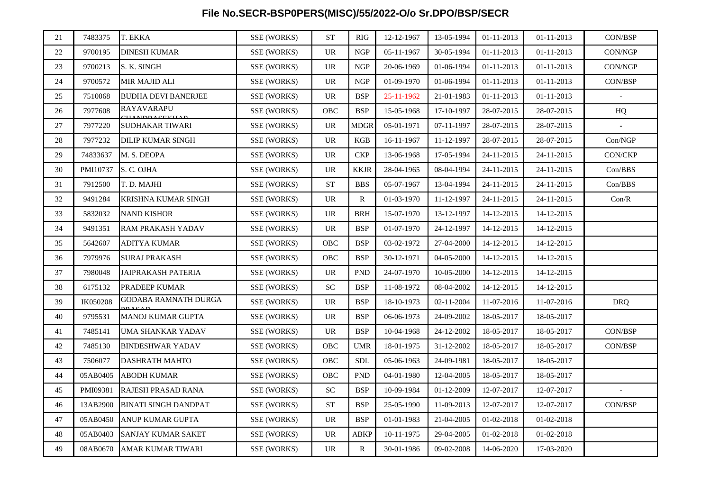## **File No.SECR-BSP0PERS(MISC)/55/2022-O/o Sr.DPO/BSP/SECR**

| 21     | 7483375  | T. EKKA                     | SSE (WORKS)        | <b>ST</b>                       | <b>RIG</b>   | 12-12-1967 | 13-05-1994 | 01-11-2013       | $01 - 11 - 2013$ | CON/BSP        |
|--------|----------|-----------------------------|--------------------|---------------------------------|--------------|------------|------------|------------------|------------------|----------------|
| 22     | 9700195  | <b>DINESH KUMAR</b>         | SSE (WORKS)        | <b>UR</b>                       | <b>NGP</b>   | 05-11-1967 | 30-05-1994 | 01-11-2013       | 01-11-2013       | CON/NGP        |
| 23     | 9700213  | S. K. SINGH                 | <b>SSE (WORKS)</b> | <b>UR</b>                       | <b>NGP</b>   | 20-06-1969 | 01-06-1994 | 01-11-2013       | $01 - 11 - 2013$ | CON/NGP        |
| 24     | 9700572  | MIR MAJID ALI               | <b>SSE (WORKS)</b> | $\ensuremath{\text{UR}}\xspace$ | <b>NGP</b>   | 01-09-1970 | 01-06-1994 | $01 - 11 - 2013$ | 01-11-2013       | CON/BSP        |
| 25     | 7510068  | <b>BUDHA DEVI BANERJEE</b>  | SSE (WORKS)        | <b>UR</b>                       | <b>BSP</b>   | 25-11-1962 | 21-01-1983 | 01-11-2013       | 01-11-2013       |                |
| 26     | 7977608  | <b>RAYAVARAPU</b>           | <b>SSE (WORKS)</b> | <b>OBC</b>                      | <b>BSP</b>   | 15-05-1968 | 17-10-1997 | 28-07-2015       | 28-07-2015       | HQ             |
| 27     | 7977220  | SUDHAKAR TIWARI             | SSE (WORKS)        | UR                              | <b>MDGR</b>  | 05-01-1971 | 07-11-1997 | 28-07-2015       | 28-07-2015       |                |
| $28\,$ | 7977232  | DILIP KUMAR SINGH           | SSE (WORKS)        | $\ensuremath{\text{UR}}\xspace$ | <b>KGB</b>   | 16-11-1967 | 11-12-1997 | 28-07-2015       | 28-07-2015       | Con/NGP        |
| 29     | 74833637 | M. S. DEOPA                 | SSE (WORKS)        | <b>UR</b>                       | <b>CKP</b>   | 13-06-1968 | 17-05-1994 | 24-11-2015       | 24-11-2015       | <b>CON/CKP</b> |
| 30     | PMI10737 | S. C. OJHA                  | <b>SSE (WORKS)</b> | <b>UR</b>                       | <b>KKJR</b>  | 28-04-1965 | 08-04-1994 | 24-11-2015       | 24-11-2015       | Con/BBS        |
| 31     | 7912500  | T. D. MAJHI                 | <b>SSE (WORKS)</b> | ${\cal S}{\cal T}$              | <b>BBS</b>   | 05-07-1967 | 13-04-1994 | 24-11-2015       | 24-11-2015       | Con/BBS        |
| 32     | 9491284  | KRISHNA KUMAR SINGH         | SSE (WORKS)        | <b>UR</b>                       | $\mathbb{R}$ | 01-03-1970 | 11-12-1997 | 24-11-2015       | 24-11-2015       | Con/R          |
| 33     | 5832032  | <b>NAND KISHOR</b>          | SSE (WORKS)        | <b>UR</b>                       | <b>BRH</b>   | 15-07-1970 | 13-12-1997 | 14-12-2015       | 14-12-2015       |                |
| 34     | 9491351  | RAM PRAKASH YADAV           | SSE (WORKS)        | UR                              | <b>BSP</b>   | 01-07-1970 | 24-12-1997 | 14-12-2015       | 14-12-2015       |                |
| 35     | 5642607  | <b>ADITYA KUMAR</b>         | SSE (WORKS)        | OBC                             | <b>BSP</b>   | 03-02-1972 | 27-04-2000 | 14-12-2015       | 14-12-2015       |                |
| 36     | 7979976  | <b>SURAJ PRAKASH</b>        | SSE (WORKS)        | OBC                             | <b>BSP</b>   | 30-12-1971 | 04-05-2000 | 14-12-2015       | 14-12-2015       |                |
| 37     | 7980048  | JAIPRAKASH PATERIA          | <b>SSE (WORKS)</b> | <b>UR</b>                       | <b>PND</b>   | 24-07-1970 | 10-05-2000 | 14-12-2015       | 14-12-2015       |                |
| 38     | 6175132  | PRADEEP KUMAR               | <b>SSE (WORKS)</b> | ${\rm SC}$                      | <b>BSP</b>   | 11-08-1972 | 08-04-2002 | 14-12-2015       | 14-12-2015       |                |
| 39     | IK050208 | GODABA RAMNATH DURGA        | SSE (WORKS)        | <b>UR</b>                       | <b>BSP</b>   | 18-10-1973 | 02-11-2004 | 11-07-2016       | 11-07-2016       | <b>DRQ</b>     |
| 40     | 9795531  | <b>MANOJ KUMAR GUPTA</b>    | SSE (WORKS)        | <b>UR</b>                       | <b>BSP</b>   | 06-06-1973 | 24-09-2002 | 18-05-2017       | 18-05-2017       |                |
| 41     | 7485141  | UMA SHANKAR YADAV           | SSE (WORKS)        | <b>UR</b>                       | <b>BSP</b>   | 10-04-1968 | 24-12-2002 | 18-05-2017       | 18-05-2017       | CON/BSP        |
| 42     | 7485130  | <b>BINDESHWAR YADAV</b>     | SSE (WORKS)        | <b>OBC</b>                      | <b>UMR</b>   | 18-01-1975 | 31-12-2002 | 18-05-2017       | 18-05-2017       | CON/BSP        |
| 43     | 7506077  | <b>DASHRATH MAHTO</b>       | SSE (WORKS)        | OBC                             | <b>SDL</b>   | 05-06-1963 | 24-09-1981 | 18-05-2017       | 18-05-2017       |                |
| 44     | 05AB0405 | <b>ABODH KUMAR</b>          | <b>SSE (WORKS)</b> | OBC                             | <b>PND</b>   | 04-01-1980 | 12-04-2005 | 18-05-2017       | 18-05-2017       |                |
| 45     | PMI09381 | RAJESH PRASAD RANA          | SSE (WORKS)        | SC                              | <b>BSP</b>   | 10-09-1984 | 01-12-2009 | 12-07-2017       | 12-07-2017       |                |
| 46     | 13AB2900 | <b>BINATI SINGH DANDPAT</b> | SSE (WORKS)        | <b>ST</b>                       | <b>BSP</b>   | 25-05-1990 | 11-09-2013 | 12-07-2017       | 12-07-2017       | CON/BSP        |
| 47     | 05AB0450 | <b>ANUP KUMAR GUPTA</b>     | SSE (WORKS)        | <b>UR</b>                       | <b>BSP</b>   | 01-01-1983 | 21-04-2005 | 01-02-2018       | 01-02-2018       |                |
| 48     | 05AB0403 | <b>SANJAY KUMAR SAKET</b>   | SSE (WORKS)        | <b>UR</b>                       | <b>ABKP</b>  | 10-11-1975 | 29-04-2005 | 01-02-2018       | 01-02-2018       |                |
| 49     | 08AB0670 | AMAR KUMAR TIWARI           | SSE (WORKS)        | UR                              | $\mathbb{R}$ | 30-01-1986 | 09-02-2008 | 14-06-2020       | 17-03-2020       |                |